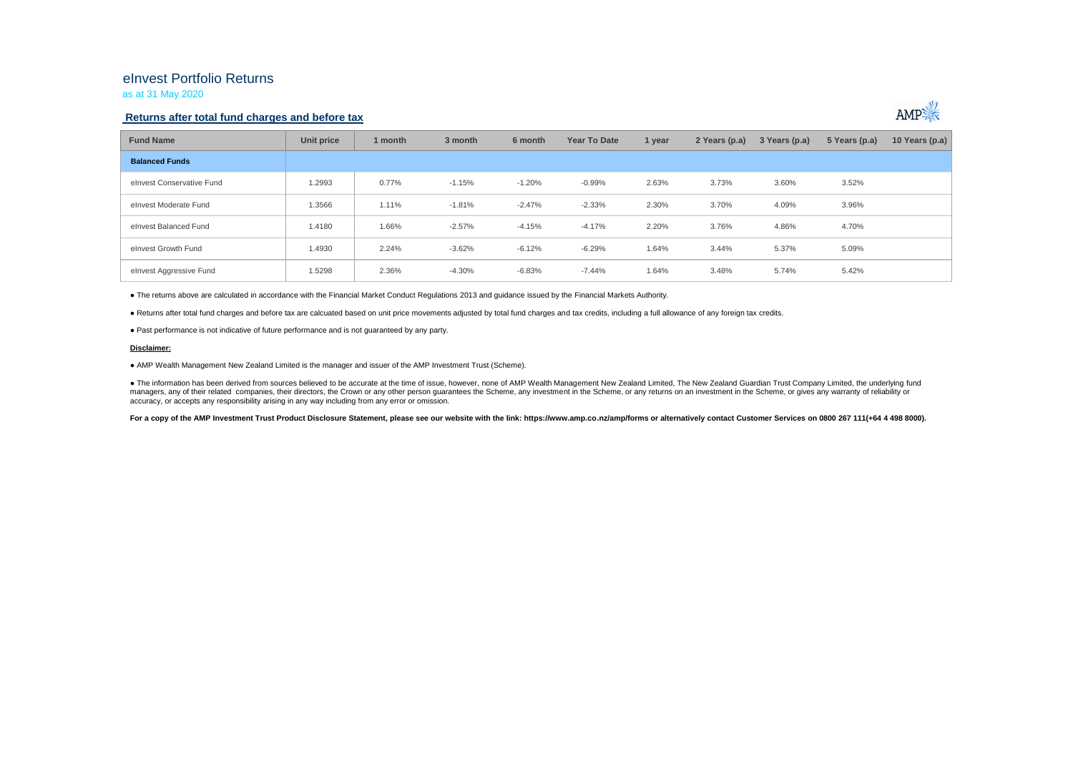## eInvest Portfolio Returns

as at 31 May 2020

### **Returns after total fund charges and before tax**



| <b>Fund Name</b>          | Unit price | 1 month | 3 month  | 6 month  | Year To Date | 1 year | 2 Years (p.a) | 3 Years (p.a) | 5 Years (p.a) | 10 Years (p.a) |
|---------------------------|------------|---------|----------|----------|--------------|--------|---------------|---------------|---------------|----------------|
| <b>Balanced Funds</b>     |            |         |          |          |              |        |               |               |               |                |
| elnyest Conservative Fund | 1.2993     | 0.77%   | $-1.15%$ | $-1.20%$ | $-0.99\%$    | 2.63%  | 3.73%         | 3.60%         | 3.52%         |                |
| elnvest Moderate Fund     | 1.3566     | 1.11%   | $-1.81%$ | $-2.47%$ | $-2.33%$     | 2.30%  | 3.70%         | 4.09%         | 3.96%         |                |
| elnvest Balanced Fund     | 1.4180     | 1.66%   | $-2.57%$ | $-4.15%$ | $-4.17%$     | 2.20%  | 3.76%         | 4.86%         | 4.70%         |                |
| elnvest Growth Fund       | 1.4930     | 2.24%   | $-3.62%$ | $-6.12%$ | $-6.29%$     | 1.64%  | 3.44%         | 5.37%         | 5.09%         |                |
| elnvest Aggressive Fund   | 1.5298     | 2.36%   | $-4.30%$ | $-6.83%$ | $-7.44%$     | 1.64%  | 3.48%         | 5.74%         | 5.42%         |                |

● The returns above are calculated in accordance with the Financial Market Conduct Regulations 2013 and guidance issued by the Financial Markets Authority.

● Returns after total fund charges and before tax are calcuated based on unit price movements adjusted by total fund charges and tax credits, including a full allowance of any foreign tax credits.

● Past performance is not indicative of future performance and is not guaranteed by any party.

#### **Disclaimer:**

● AMP Wealth Management New Zealand Limited is the manager and issuer of the AMP Investment Trust (Scheme).

● The information has been derived from sources believed to be accurate at the time of issue, however, none of AMP Wealth Management New Zealand Limited, The New Zealand Guardian Trust Company Limited, the underlying fund managers, any of their related companies, their directors, the Crown or any other person quarantees the Scheme, any investment in the Scheme, or any returns on an investment in the Scheme, or qives any warranty of reliabil accuracy, or accepts any responsibility arising in any way including from any error or omission.

For a copy of the AMP Investment Trust Product Disclosure Statement, please see our website with the link: https://www.amp.co.nz/amp/forms or alternatively contact Customer Services on 0800 267 111(+64 4 498 8000).